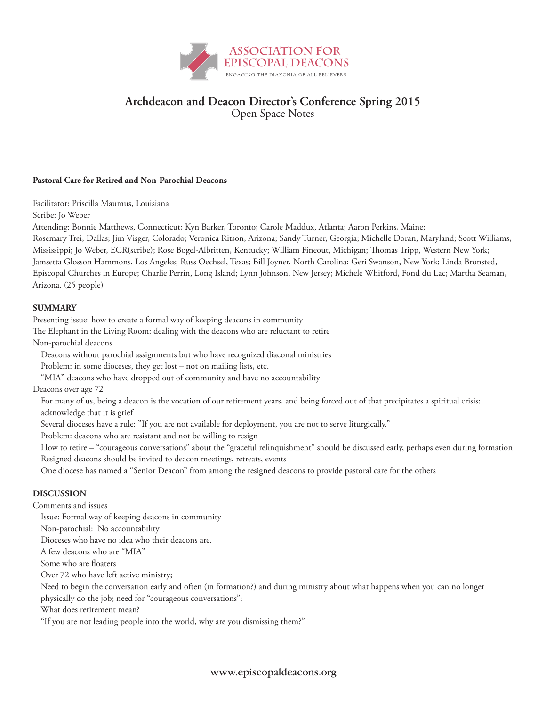

# **Archdeacon and Deacon Director's Conference Spring 2015** Open Space Notes

#### **Pastoral Care for Retired and Non-Parochial Deacons**

Facilitator: Priscilla Maumus, Louisiana

Scribe: Jo Weber

Attending: Bonnie Matthews, Connecticut; Kyn Barker, Toronto; Carole Maddux, Atlanta; Aaron Perkins, Maine;

Rosemary Trei, Dallas; Jim Visger, Colorado; Veronica Ritson, Arizona; Sandy Turner, Georgia; Michelle Doran, Maryland; Scott Williams, Mississippi; Jo Weber, ECR(scribe); Rose Bogel-Albritten, Kentucky; William Fineout, Michigan; Thomas Tripp, Western New York; Jamsetta Glosson Hammons, Los Angeles; Russ Oechsel, Texas; Bill Joyner, North Carolina; Geri Swanson, New York; Linda Bronsted, Episcopal Churches in Europe; Charlie Perrin, Long Island; Lynn Johnson, New Jersey; Michele Whitford, Fond du Lac; Martha Seaman, Arizona. (25 people)

### **SUMMARY**

Presenting issue: how to create a formal way of keeping deacons in community

The Elephant in the Living Room: dealing with the deacons who are reluctant to retire

Non-parochial deacons

Deacons without parochial assignments but who have recognized diaconal ministries

Problem: in some dioceses, they get lost – not on mailing lists, etc.

"MIA" deacons who have dropped out of community and have no accountability

Deacons over age 72

For many of us, being a deacon is the vocation of our retirement years, and being forced out of that precipitates a spiritual crisis; acknowledge that it is grief

Several dioceses have a rule: "If you are not available for deployment, you are not to serve liturgically."

Problem: deacons who are resistant and not be willing to resign

How to retire – "courageous conversations" about the "graceful relinquishment" should be discussed early, perhaps even during formation Resigned deacons should be invited to deacon meetings, retreats, events

One diocese has named a "Senior Deacon" from among the resigned deacons to provide pastoral care for the others

## **DISCUSSION**

Comments and issues

Issue: Formal way of keeping deacons in community

Non-parochial: No accountability

Dioceses who have no idea who their deacons are.

A few deacons who are "MIA"

Some who are floaters

Over 72 who have left active ministry;

Need to begin the conversation early and often (in formation?) and during ministry about what happens when you can no longer

physically do the job; need for "courageous conversations";

What does retirement mean?

"If you are not leading people into the world, why are you dismissing them?"